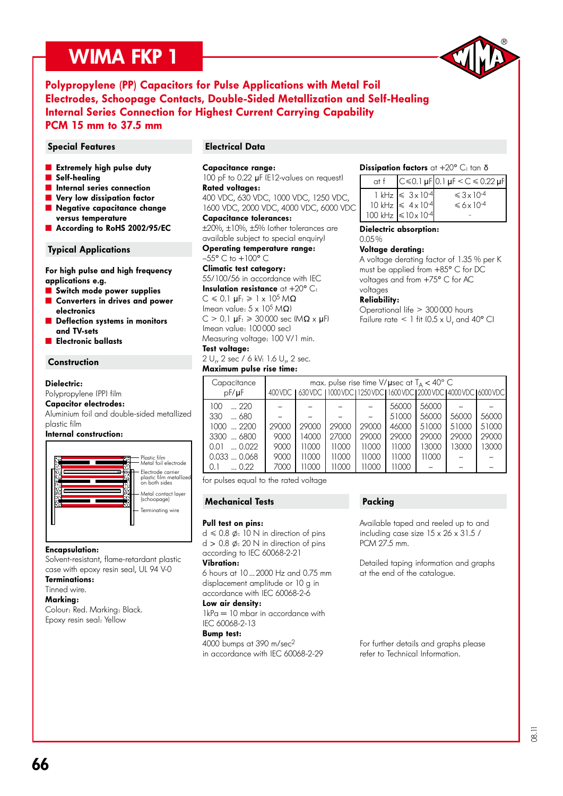## WIMA FKP 1



### Polypropylene (PP) Capacitors for Pulse Applications with Metal Foil Electrodes, Schoopage Contacts, Double-Sided Metallization and Self-Healing Internal Series Connection for Highest Current Carrying Capability PCM 15 mm to 37.5 mm

### Special Features **Electrical Data**

- **Extremely high pulse duty**
- Self-healing
- **n** Internal series connection
- Very low dissipation factor
- Negative capacitance change versus temperature
- According to RoHS 2002/95/EC

### Typical Applications

For high pulse and high frequency applications e.g.

- **Switch mode power supplies**
- ˜ Converters in drives and power electronics
- Deflection systems in monitors and TV-sets
- ˜ Electronic ballasts

### **Construction**

### Dielectric:

Polypropylene (PP) film

### Capacitor electrodes:

Aluminium foil and double-sided metallized plastic film

### Internal construction:



### Encapsulation:

Solvent-resistant, flame-retardant plastic case with epoxy resin seal, UL 94 V-0

Terminations: Tinned wire.

### Marking:

Colour: Red. Marking: Black. Epoxy resin seal: Yellow

### Capacitance range:

100 pF to 0.22 µF (E12-values on request) Rated voltages:

400 VDC, 630 VDC, 1000 VDC, 1250 VDC, 1600 VDC, 2000 VDC, 4000 VDC, 6000 VDC Capacitance tolerances:

±20%, ±10%, ±5% (other tolerances are available subject to special enquiry)

Operating temperature range:

 $-55^{\circ}$  C to  $+100^{\circ}$  C

### Climatic test category:

55/100/56 in accordance with IEC Insulation resistance  $at + 20^{\circ}$  C:  $C \le 0.1$  uF:  $\ge 1 \times 10^5$  MO (mean value:  $5 \times 10^5$  M $\Omega$ )  $C > 0.1$  uF:  $\geqslant 30000$  sec  $(M\Omega \times H)$ (mean value: 100 000 sec) Measuring voltage: 100 V/1 min.

### Test voltage:

2 U<sub>r</sub>, 2 sec / 6 kV: 1.6 U<sub>r</sub>, 2 sec. Maximum pulse rise time:

### Dissipation factors at  $+20^{\circ}$  C: tan  $\delta$

| at f |                                                                                                                          | $C \le 0.1 \,\mu$ F 0.1 $\mu$ F < C ≤ 0.22 $\mu$ F |
|------|--------------------------------------------------------------------------------------------------------------------------|----------------------------------------------------|
|      | $1 \text{ kHz} \le 3 \times 10^{-4}$<br>$10 \text{ kHz} \le 4 \times 10^{-4}$<br>$100 \text{ kHz} \le 10 \times 10^{-4}$ | $\leq 3 \times 10^{-4}$<br>$\leq 6 \times 10^{-4}$ |

Dielectric absorption:

### 0.05 %

Voltage derating: A voltage derating factor of 1.35 % per K must be applied from +85° C for DC voltages and from +75° C for AC voltages

### Reliability:

Operational life > 300 000 hours Failure rate  $\leq 1$  fit (0.5 x U<sub>r</sub> and 40° C)

| Capacitance<br>$pF/\mu F$                                                                           |                                       |                                           |                                           | max. pulse rise time V/ $\mu$ sec at T <sub>A</sub> < 40° C<br>400 VDC   630 VDC   1000 VDC   1250 VDC   1600 VDC   2000 VDC   4000 VDC   6000 VDC |                                                             |                                                    |                                  |                                  |
|-----------------------------------------------------------------------------------------------------|---------------------------------------|-------------------------------------------|-------------------------------------------|----------------------------------------------------------------------------------------------------------------------------------------------------|-------------------------------------------------------------|----------------------------------------------------|----------------------------------|----------------------------------|
| 100<br>220<br>330<br>680<br>$1000$ 2200<br>3300  6800<br>0.022<br>0.01<br>0.0330.068<br>0.22<br>0.1 | 29000<br>9000<br>9000<br>9000<br>7000 | 29000<br>14000<br>11000<br>11000<br>11000 | 29000<br>27000<br>11000<br>11000<br>11000 | 29000<br>29000<br>11000<br>11000<br>11000                                                                                                          | 56000<br>51000<br>46000<br>29000<br>11000<br>11000<br>11000 | 56000<br>56000<br>51000<br>29000<br>13000<br>11000 | 56000<br>51000<br>29000<br>13000 | 56000<br>51000<br>29000<br>13000 |

for pulses equal to the rated voltage

### Mechanical Tests

#### Pull test on pins:

 $d \le 0.8$   $\phi$ : 10 N in direction of pins  $d > 0.8$   $\phi$ : 20 N in direction of pins according to IEC 60068-2-21

#### Vibration:

6 hours at 10 ... 2000 Hz and 0.75 mm displacement amplitude or 10 g in accordance with IEC 60068-2-6

### Low air density:

 $1kPa = 10$  mbar in accordance with IEC 60068-2-13

#### Bump test:

4000 bumps at 390 m/sec2 in accordance with IEC 60068-2-29

### Packing

Available taped and reeled up to and including case size 15 x 26 x 31.5 / PCM 27.5 mm.

Detailed taping information and graphs at the end of the catalogue.

For further details and graphs please refer to Technical Information.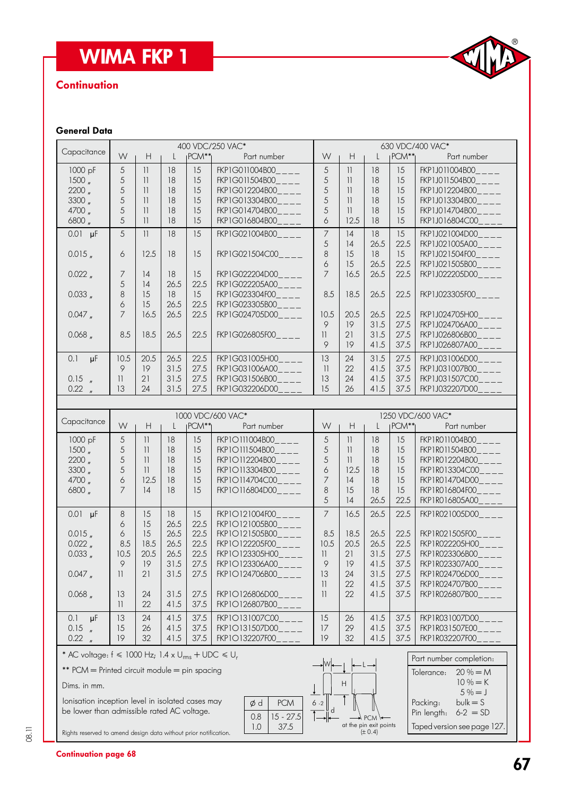# WIMA FKP 1

### **Continuation**



### General Data

| Capacitance                                                      |                      |                          |        |                   | 400 VDC/250 VAC*                 | 630 VDC/400 VAC*         |                                                             |              |                   |                                       |  |
|------------------------------------------------------------------|----------------------|--------------------------|--------|-------------------|----------------------------------|--------------------------|-------------------------------------------------------------|--------------|-------------------|---------------------------------------|--|
|                                                                  | W                    | H                        | L      | PCM <sup>**</sup> | Part number                      | W                        | Н                                                           | $\mathbf{L}$ | $PCM**$           | Part number                           |  |
| 1000 pF                                                          | 5                    | 11                       | 18     | 15                | FKP1G011004B00<br>$---$          | 5                        | 11                                                          | 18           | 15                | FKP1J011004B00____                    |  |
| 1500 <sub>n</sub>                                                | 5                    | 11                       | 18     | 15                | FKP1G011504B00____               | 5                        | 11                                                          | 18           | 15                | FKP1J011504B00____                    |  |
| 2200 <sub>''</sub>                                               | 5                    | 11                       | 18     | 15                | FKP1G012204B00____               | 5                        | $\overline{11}$                                             | 18           | 15                | FKP1J012204B00____                    |  |
| 3300 <sub>''</sub>                                               | 5                    | 11                       | 18     | 15                | FKP1G013304B00____               | 5                        | $\overline{\mathcal{L}}$                                    | 18           | 15                | FKP1J013304B00____                    |  |
| 4700 "                                                           | 5                    | 11                       | 18     | 15                | FKP1G014704B00                   | 5                        | $\overline{\phantom{a}}$                                    | 18           | 15                | FKP1J014704B00                        |  |
| 6800                                                             | 5                    | 11                       | 18     | 15                | FKP1G016804B00____               | 6                        | 12.5                                                        | 18           | 15                | FKP1J016804C00____                    |  |
|                                                                  |                      |                          |        |                   |                                  |                          |                                                             |              |                   |                                       |  |
| $0.01$ µF                                                        | 5                    | 11                       | 18     | 15                | FKP1G021004B00____               | 7                        | 4                                                           | 18           | 15                | FKP1J021004D00                        |  |
|                                                                  |                      |                          |        |                   |                                  | 5                        | 4                                                           | 26.5         | 22.5              | FKP1J021005A00____                    |  |
| 0.015                                                            | 6                    | 12.5                     | 18     | 15                | FKP1G021504C00____               | $\,8\,$                  | 15                                                          | 18           | 15                | $FKP1J021504F00$ <sub>____</sub>      |  |
|                                                                  |                      |                          |        |                   |                                  | 6                        | 15                                                          | 26.5         | 22.5              | $FKP1J021505B00$ <sub>____</sub>      |  |
| $0.022$ $_{\prime\prime}$                                        | $\overline{7}$       | 14                       | 18     | 15                | FKP1G022204D00____               | $\overline{7}$           | 16.5                                                        | 26.5         | 22.5              | FKP1J022205D00____                    |  |
|                                                                  | 5                    | 14                       | 26.5   | 22.5              | FKP1G022205A00____               |                          |                                                             |              |                   |                                       |  |
| 0.033 <sub>''</sub>                                              | 8                    | 15                       | 18     | 15                | FKP1G023304F00____               | 8.5                      | 18.5                                                        | 26.5         | 22.5              | FKP1J023305F00____                    |  |
|                                                                  | 6                    | 15                       | 26.5   | 22.5              | FKP1G023305B00____               |                          |                                                             |              |                   |                                       |  |
| $0.047$ $_{\prime\prime}$                                        | $\overline{7}$       | 16.5                     | 26.5   | 22.5              | FKP1G024705D00____               | 10.5                     | 20.5                                                        | 26.5         | 22.5              | FKP1J024705H00                        |  |
|                                                                  |                      |                          |        |                   |                                  | 9                        | 19                                                          | 31.5         | 27.5              | FKP1J024706A00____                    |  |
| 0.068                                                            | 8.5                  | 18.5                     | 26.5   | 22.5              | FKP1G026805F00____               | 11                       | 21                                                          | 31.5         | 27.5              | FKP1J026806B00____                    |  |
|                                                                  |                      |                          |        |                   |                                  | 9                        | 19                                                          | 41.5         | 37.5              | FKP1J026807A00____                    |  |
| $\mu$ F<br>0.1                                                   | 10.5                 | 20.5                     | 26.5   | 22.5              | FKP1G031005H00                   | 13                       | 24                                                          | 31.5         | 27.5              | FKP1J031006D00____                    |  |
|                                                                  | 9                    | 19                       | 31.5   | 27.5              | FKP1G031006A00____               | $\overline{\phantom{a}}$ | 22                                                          | 41.5         | 37.5              | FKP1J031007B00                        |  |
| $0.15$ "                                                         | $\vert \vert$        | 21                       | 31.5   | 27.5              | FKP1G031506B00____               | 13                       | 24                                                          | 41.5         | 37.5              | FKP1J031507C00____                    |  |
| 0.22                                                             | 13                   | 24                       | 31.5   | 27.5              | FKP1G032206D00                   | 15                       | 26                                                          | 41.5         | 37.5              | FKP1J032207D00____                    |  |
| $\overline{u}$                                                   |                      |                          |        |                   |                                  |                          |                                                             |              |                   |                                       |  |
|                                                                  |                      |                          |        |                   |                                  |                          |                                                             |              |                   |                                       |  |
| Capacitance                                                      |                      |                          |        |                   | 1000 VDC/600 VAC*                |                          |                                                             |              |                   | 1250 VDC/600 VAC*                     |  |
|                                                                  | W                    | $\mathsf H$              | L      | $PCM**$           | Part number                      | W                        | $\mathsf{H}% _{\mathbb{R}}^{1}\left( \mathbb{R}^{2}\right)$ | $\mathsf{L}$ | PCM <sup>**</sup> | Part number                           |  |
| 1000 pF                                                          | 5                    | 11                       | 18     | 15                | FKP10111004B00                   | 5                        | 11                                                          | 18           | 15                | FKP1R011004B00                        |  |
| 1500 <sub>''</sub>                                               | 5                    | $\overline{\mathcal{H}}$ | 18     | 15                | FKP10111504B00                   | 5                        | 11                                                          | 18           | 15                | FKP1R011504B00                        |  |
| 2200 <sub>n</sub>                                                | 5                    | 11                       | 18     | 15                | FKP10112204B00                   | 5                        | $\overline{\phantom{a}}$                                    | 18           | 15                | FKP1R012204B00____                    |  |
| 3300 <sub>''</sub>                                               | 5                    | $\vert \vert$            | 18     | 15                | FKP10113304B00____               | 6                        | 12.5                                                        | 18           | 15                | FKP1R013304C00____                    |  |
| 4700 "                                                           | 6                    | 12.5                     | 18     | 15                | FKP10114704C00____               | 7                        | 14                                                          | 18           | 15                | FKP1R014704D00____                    |  |
| 6800 "                                                           | $\overline{7}$       | 14                       | 18     | 15                | FKP1O116804D00____               | 8                        | 15                                                          | 18           | 15                | FKP1R016804F00____                    |  |
|                                                                  |                      |                          |        |                   |                                  | 5                        | 4                                                           | 26.5         | 22.5              | FKP1R016805A00____                    |  |
| $0.01$ µF                                                        | $\,8\,$              |                          | 18     | 15                | $FKP1O121004F00$ <sub>____</sub> | $\overline{7}$           | 16.5                                                        | 26.5         | 22.5              | FKP1R021005D00____                    |  |
|                                                                  | 6                    | 15<br>15                 | 26.5   | 22.5              | FKP1O121005B00____               |                          |                                                             |              |                   |                                       |  |
| 0.015                                                            | $\acute{\mathrm{o}}$ | 15                       | 26.5   | 22.5              | FKP10121505B00____               | 8.5                      | 18.5                                                        | 26.5         | 22.5              | FKP1R021505F00____                    |  |
| $0.022$ $_{\prime\prime}$                                        | 8.5                  | 18.5                     | 26.5   | 22.5              | FKP10122205F00                   | 10.5                     | 20.5                                                        | 26.5         | 22.5              | FKP1R022205H00____                    |  |
| 0.033,                                                           |                      |                          |        | 22.5              | FKP1O123305H00                   |                          | 21                                                          | 31.5         | 27.5              | FKP1R023306B00                        |  |
|                                                                  | 10.5                 | 20.5                     | 26.5   |                   |                                  | $\mathbf{1}$<br>9        |                                                             |              |                   |                                       |  |
|                                                                  | 9                    | $19$                     | $31.5$ | 27.5              | FKP1O123306A00                   |                          | 19                                                          | 41.5         | 37.5              | FKP1R023307A00                        |  |
| $0.047$ $_{\prime\prime}$                                        | 11                   | 21                       | 31.5   | 27.5              | FKP1O124706B00                   | 13                       | 24                                                          | 31.5         | 27.5              | FKP1R024706D00___                     |  |
|                                                                  |                      |                          |        |                   |                                  | $\overline{\mathbf{1}}$  | 22                                                          | 41.5         | 37.5              | FKP1R024707B00                        |  |
| $0.068$ $_{\prime\prime}$                                        | 13                   | 24                       | 31.5   | 27.5              | FKP10126806D00                   | 11                       | 22                                                          | 41.5         | 37.5              | FKP1R026807B00____                    |  |
|                                                                  | 11                   | 22                       | 41.5   | 37.5              | FKP10126807B00                   |                          |                                                             |              |                   |                                       |  |
| 0.1<br>μF                                                        | 13                   | 24                       | 41.5   | 37.5              | FKP1O131007C00                   | 15                       | 26                                                          | 41.5         | 37.5              | FKP1R031007D00____                    |  |
| $0.15$ "                                                         | 15                   | 26                       | 41.5   | 37.5              | FKP1O131507D00                   | 17                       | 29                                                          | 41.5         | 37.5              | FKP1R031507E00____                    |  |
| 0.22 <sub>n</sub>                                                | 19                   | 32                       | 41.5   | 37.5              | FKP1O132207F00                   | 19                       | 32                                                          | 41.5         | 37.5              | FKP1R032207F00                        |  |
|                                                                  |                      |                          |        |                   |                                  |                          |                                                             |              |                   |                                       |  |
| * AC voltage: $f \le 1000$ Hz; 1.4 x $U_{rms}$ + UDC $\le U_r$   |                      |                          |        |                   |                                  |                          |                                                             |              |                   | Part number completion:               |  |
|                                                                  |                      |                          |        |                   |                                  |                          |                                                             |              |                   |                                       |  |
| ** PCM = Printed circuit module = pin spacing                    |                      |                          |        |                   |                                  |                          |                                                             |              |                   |                                       |  |
|                                                                  |                      |                          |        |                   |                                  |                          |                                                             |              |                   | $20% = M$<br>Tolerance:<br>$10\% = K$ |  |
| Dims. in mm.<br>lonisation inception level in isolated cases may |                      |                          |        |                   |                                  |                          | H.                                                          |              |                   | $5% = J$                              |  |

 be lower than admissible rated AC voltage. Rights reserved to amend design data without prior notification.



|                             | Part number completion: |  |  |  |  |  |  |
|-----------------------------|-------------------------|--|--|--|--|--|--|
| Tolerance:                  | $20\% = M$              |  |  |  |  |  |  |
|                             | $10\% = K$              |  |  |  |  |  |  |
|                             | $5\% = 1$               |  |  |  |  |  |  |
| Packing:                    | $bulk = S$              |  |  |  |  |  |  |
| Pin length:                 | $6 - 2 = SD$            |  |  |  |  |  |  |
| Taped version see page 127. |                         |  |  |  |  |  |  |

08.11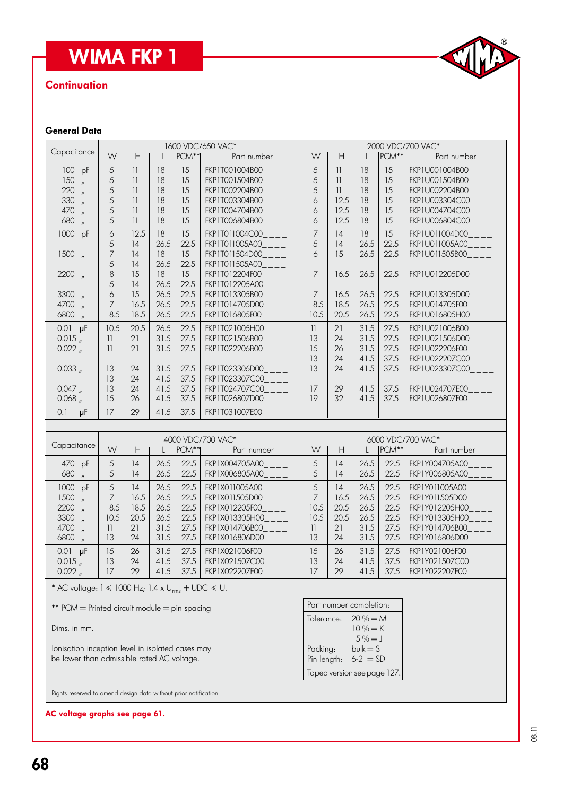## **WIMA FKP 1**

### **Continuation**



### General Data

| <b>WIMA FKP 1</b>                                                                                                                                                                                                                                                                                                                                                                                       |                                                               |                                                                                                                                                         |                                                                                    |                                                                                    |                                                                                                                                                                                                                                                                              |                                                                                            |                                                                                                                       |                                                                        |                                                                        | CIVA                                                                                                                                                                                                                                       |
|---------------------------------------------------------------------------------------------------------------------------------------------------------------------------------------------------------------------------------------------------------------------------------------------------------------------------------------------------------------------------------------------------------|---------------------------------------------------------------|---------------------------------------------------------------------------------------------------------------------------------------------------------|------------------------------------------------------------------------------------|------------------------------------------------------------------------------------|------------------------------------------------------------------------------------------------------------------------------------------------------------------------------------------------------------------------------------------------------------------------------|--------------------------------------------------------------------------------------------|-----------------------------------------------------------------------------------------------------------------------|------------------------------------------------------------------------|------------------------------------------------------------------------|--------------------------------------------------------------------------------------------------------------------------------------------------------------------------------------------------------------------------------------------|
| <b>Continuation</b>                                                                                                                                                                                                                                                                                                                                                                                     |                                                               |                                                                                                                                                         |                                                                                    |                                                                                    |                                                                                                                                                                                                                                                                              |                                                                                            |                                                                                                                       |                                                                        |                                                                        |                                                                                                                                                                                                                                            |
| <b>General Data</b>                                                                                                                                                                                                                                                                                                                                                                                     |                                                               |                                                                                                                                                         |                                                                                    |                                                                                    |                                                                                                                                                                                                                                                                              |                                                                                            |                                                                                                                       |                                                                        |                                                                        |                                                                                                                                                                                                                                            |
| Capacitance                                                                                                                                                                                                                                                                                                                                                                                             | W                                                             | H                                                                                                                                                       |                                                                                    | PCM**                                                                              | 1600 VDC/650 VAC*<br>Part number                                                                                                                                                                                                                                             | W                                                                                          | H                                                                                                                     | PCM**                                                                  | 2000 VDC/700 VAC*<br>Part number                                       |                                                                                                                                                                                                                                            |
| 100 pF<br>150<br>$\mathbf{u}$<br>220<br>$\mathbf{u}$<br>330<br>$\mathbf{u}$<br>470<br>$\mathbf{u}$<br>680<br>$\mathbf{u}$<br>1000 pF<br>$1500$ $\frac{1500}{1500}$<br>$2200$ $\frac{1}{2}$<br>3300 "                                                                                                                                                                                                    | 5<br>5<br>5<br>5<br>5<br>5<br>6<br>5<br>7<br>5<br>8<br>5<br>6 | $\vert \vert$<br>$\overline{\mathbf{1}}$<br>11<br>$\overline{\phantom{a}}$<br>$\mathbf{1}$<br>$\vert \vert$<br>12.5<br>14<br>14<br> 4<br>15<br>14<br>15 | 18<br>18<br>18<br>18<br>18<br>18<br>18<br>26.5<br>18<br>26.5<br>18<br>26.5<br>26.5 | 15<br>15<br>15<br>15<br>15<br>15<br>15<br>22.5<br>15<br>22.5<br>15<br>22.5<br>22.5 | FKP1T001004B00____<br>FKP1T001504B00____<br>FKP1T002204B00____<br>FKP1T003304B00<br>FKP1T004704B00____<br>FKP1T006804B00____<br>FKP1T011004C00____<br>FKP1T011005A00<br>FKP1T011504D00____<br>FKP1T011505A00___<br>FKP1T012204F00___<br>FKP1T012205A00<br>FKP1T013305B00____ | 5<br>5<br>5<br>6<br>6<br>6<br>$\overline{7}$<br>5<br>6<br>$\overline{7}$<br>$\overline{7}$ | $\mathbf{1}$<br>$\overline{11}$<br>$\overline{\phantom{a}}$<br>12.5<br>12.5<br>12.5<br>14<br>14<br>15<br>16.5<br>16.5 | 18<br>18<br>18<br>18<br>18<br>18<br>18<br>26.5<br>26.5<br>26.5<br>26.5 | 15<br>15<br>15<br>15<br>15<br>15<br>15<br>22.5<br>22.5<br>22.5<br>22.5 | FKP1U001004B00____<br>FKP1U001504B00____<br>FKP1U002204B00____<br>FKP1U003304C00____<br>FKP1U004704C00____<br>FKP1U006804C00____<br>FKP1U011004D00____<br>FKP1U011005A00____<br>FKP1U011505B00____<br>FKP1U012205D00____<br>FKP1U013305D00 |
| 4700<br>$\overline{u}$<br>6800 "                                                                                                                                                                                                                                                                                                                                                                        | 7<br>8.5                                                      | 16.5<br>18.5                                                                                                                                            | 26.5<br>26.5                                                                       | 22.5<br>22.5                                                                       | FKP1T014705D00____<br>FKP1T016805F00                                                                                                                                                                                                                                         | 8.5<br>10.5                                                                                | 18.5<br>20.5                                                                                                          | 26.5<br>26.5                                                           | 22.5<br>22.5                                                           | FKP1U014705F00____<br>FKP1U016805H00____                                                                                                                                                                                                   |
| $0.01$ $\mu$ F<br>$0.015$ $_{\prime\prime}$<br>0.022 <sub>n</sub><br>0.033,                                                                                                                                                                                                                                                                                                                             | 10.5<br>11<br>11<br>13                                        | 20.5<br>21<br>21<br>24                                                                                                                                  | 26.5<br>31.5<br>31.5<br>31.5                                                       | 22.5<br>27.5<br>27.5<br>27.5                                                       | FKP1T021005H00____<br>FKP1T021506B00____<br>FKP1T022206B00<br>FKP1T023306D00                                                                                                                                                                                                 | $\overline{\phantom{a}}$<br>13<br>15<br>13<br>13                                           | 21<br>24<br>26<br>24<br>24                                                                                            | 31.5<br>31.5<br>31.5<br>41.5<br>41.5                                   | 27.5<br>27.5<br>27.5<br>37.5<br>37.5                                   | FKP1U021006B00____<br>FKP1U021506D00____<br>FKP1U022206F00____<br>FKP1U022207C00____<br>FKP1U023307C00____                                                                                                                                 |
| 0.047<br>0.068                                                                                                                                                                                                                                                                                                                                                                                          | 13<br>13<br>15                                                | 24<br>24<br>26                                                                                                                                          | 41.5<br>41.5<br>41.5                                                               | 37.5<br>37.5<br>37.5                                                               | FKP1T023307C00____<br>FKP1T024707C00____<br>FKP1T026807D00____                                                                                                                                                                                                               | 17<br>19                                                                                   | 29<br>32                                                                                                              | 41.5<br>41.5                                                           | 37.5<br>37.5                                                           | FKP1U024707E00____<br>FKP1U026807F00____                                                                                                                                                                                                   |
| 0.1<br>μF                                                                                                                                                                                                                                                                                                                                                                                               | 17                                                            | 29                                                                                                                                                      | 41.5                                                                               | 37.5                                                                               | FKP1T031007E00                                                                                                                                                                                                                                                               |                                                                                            |                                                                                                                       |                                                                        |                                                                        |                                                                                                                                                                                                                                            |
| Capacitance                                                                                                                                                                                                                                                                                                                                                                                             | W                                                             | H                                                                                                                                                       | $\mathbf{L}$                                                                       | $ PCM** $                                                                          | 4000 VDC/700 VAC*<br>Part number                                                                                                                                                                                                                                             | W                                                                                          | H                                                                                                                     | $\mathbf{L}$                                                           | PCM**                                                                  | 6000 VDC/700 VAC*<br>Part number                                                                                                                                                                                                           |
| 470 pF<br>680 "                                                                                                                                                                                                                                                                                                                                                                                         | 5<br>5                                                        | 4<br> 4                                                                                                                                                 | 26.5<br>26.5                                                                       | 22.5                                                                               | FKP1X004705A00___<br>22.5   FKP1X006805A00_                                                                                                                                                                                                                                  | 5<br>5                                                                                     | 14<br>14                                                                                                              | 26.5<br>26.5                                                           | 22.5<br>22.5                                                           | FKP1Y004705A00_<br>FKP1Y006805A00_                                                                                                                                                                                                         |
| 1000 pF<br>1500<br>$\mathbf{u}$<br>2200<br>3300<br>$\mathbf{u}$<br>4700<br>$\mathbf{u}$<br>6800<br>$\mathbf{u}$                                                                                                                                                                                                                                                                                         | 5<br>7<br>8.5<br>10.5<br>$\mathbf{1}$<br>13                   | 14<br>16.5<br>18.5<br>20.5<br>21<br>24                                                                                                                  | 26.5<br>26.5<br>26.5<br>26.5<br>31.5<br>31.5                                       | 22.5<br>22.5<br>22.5<br>22.5<br>27.5<br>27.5                                       | FKP1X011005A00<br>FKP1X011505D00<br>FKP1X012205F00<br>FKP1X013305H00<br>FKP1X014706B00<br>FKP1X016806D00                                                                                                                                                                     | 5<br>7<br>10.5<br>10.5<br>$\mathcal{V}$<br>13                                              | 4<br>16.5<br>20.5<br>20.5<br>21<br>24                                                                                 | 26.5<br>26.5<br>26.5<br>26.5<br>31.5<br>31.5                           | 22.5<br>22.5<br>22.5<br>22.5<br>27.5<br>27.5                           | FKP1Y011005A00<br>FKP1Y011505D00<br>FKP1Y012205H00<br>FKP1Y013305H00_<br>FKP1Y014706B00____<br>FKP1Y016806D00                                                                                                                              |
| $0.01$ $\mu$ F<br>$0.015$ $_{\prime\prime}$<br>$0.022$ $_{\prime\prime}$                                                                                                                                                                                                                                                                                                                                | 15<br>13<br>17                                                | 26<br>24<br>29                                                                                                                                          | 31.5<br>41.5<br>41.5                                                               | 27.5<br>37.5<br>37.5                                                               | FKP1X021006F00<br>FKP1X021507C00____<br>FKP1X022207E00____                                                                                                                                                                                                                   | 15<br>13<br>17                                                                             | 26<br>24<br>29                                                                                                        | 31.5<br>41.5<br>41.5                                                   | 27.5<br>37.5<br>37.5                                                   | FKP1Y021006F00____<br>FKP1Y021507C00____<br>FKP1Y022207E00____                                                                                                                                                                             |
| * AC voltage: $f \le 1000$ Hz; $1.4 \times U_{rms} + UDC \le U_r$<br>Part number completion:<br>** PCM = Printed circuit module = pin spacing<br>$20% = M$<br>Tolerance:<br>$10\% = K$<br>Dims. in mm.<br>$5% = J$<br>$bulk = S$<br>lonisation inception level in isolated cases may<br>Packing:<br>be lower than admissible rated AC voltage.<br>Pin length: $6-2 = SD$<br>Taped version see page 127. |                                                               |                                                                                                                                                         |                                                                                    |                                                                                    |                                                                                                                                                                                                                                                                              |                                                                                            |                                                                                                                       |                                                                        |                                                                        |                                                                                                                                                                                                                                            |
| Rights reserved to amend design data without prior notification.<br>AC voltage graphs see page 61.                                                                                                                                                                                                                                                                                                      |                                                               |                                                                                                                                                         |                                                                                    |                                                                                    |                                                                                                                                                                                                                                                                              |                                                                                            |                                                                                                                       |                                                                        |                                                                        |                                                                                                                                                                                                                                            |

AC voltage graphs see page 61.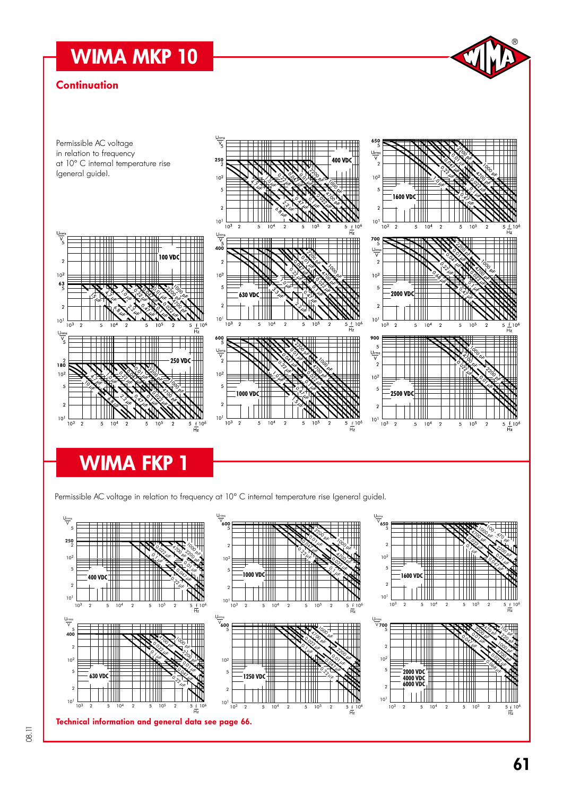# WIMA MKP 10

### **Continuation**



# WIMA FKP 1

Permissible AC voltage in relation to frequency at 10° C internal temperature rise (general guide).



 $^{\circledR}$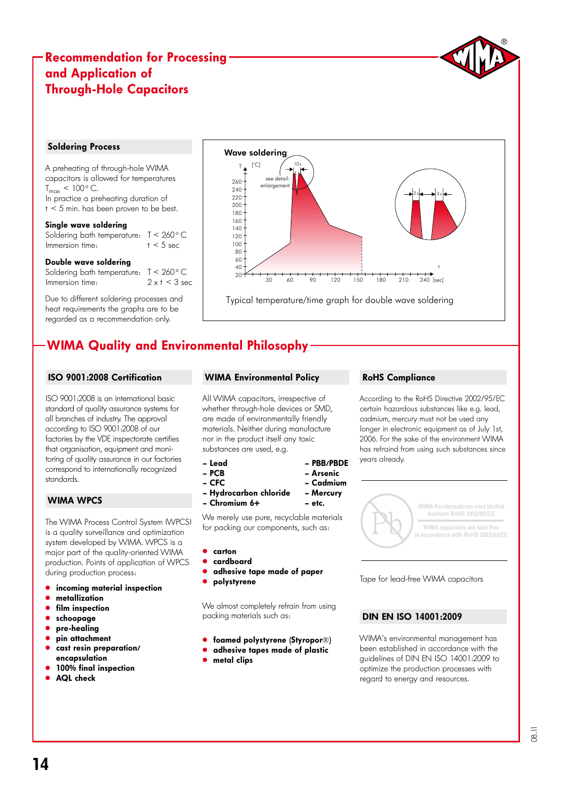### Recommendation for Processing and Application of Through-Hole Capacitors

#### Soldering Process

A preheating of through-hole WIMA capacitors is allowed for temperatures  $T_{max}$  < 100 $^{\circ}$  C. In practice a preheating duration of  $t < 5$  min. has been proven to be best.

#### Single wave soldering

Soldering bath temperature:  $T < 260$  ° C<br>Immersion time:  $t < 5$  sec Immersion time:

#### Double wave soldering

Soldering bath temperature:  $T < 260$  ° C<br>Immersion time:  $2 \times t < 3$  sec Immersion time:

Due to different soldering processes and heat requirements the graphs are to be regarded as a recommendation only.



## WIMA Quality and Environmental Philosophy

### ISO 9001:2008 Certification

ISO 9001:2008 is an international basic standard of quality assurance systems for all branches of industry. The approval according to ISO 9001:2008 of our factories by the VDE inspectorate certifies that organisation, equipment and monitoring of quality assurance in our factories correspond to internationally recognized standards.

### WIMA WPCS

The WIMA Process Control System (WPCS) is a quality surveillance and optimization system developed by WIMA. WPCS is a major part of the quality-oriented WIMA production. Points of application of WPCS during production process:

- incoming material inspection
- metallization
- film inspection
- schoopage
- pre-healing
- pin attachment
- cast resin preparation/ encapsulation
- 100% final inspection
- AQL check

### WIMA Environmental Policy

All WIMA capacitors, irrespective of whether through-hole devices or SMD, are made of environmentally friendly materials. Neither during manufacture nor in the product itself any toxic substances are used, e.g.

– Lead – PBB/PBDE

- PCB Arsenic
- CFC Cadmium
- Hydrocarbon chloride Mercury
- Chromium 6+ etc.

We merely use pure, recyclable materials for packing our components, such as:

- " carton
- " cardboard
- adhesive tape made of paper
- polystyrene

We almost completely refrain from using packing materials such as:

- **.** foamed polystyrene (Styropor®)
- **.** adhesive tapes made of plastic
- metal clips

### RoHS Compliance

According to the RoHS Directive 2002/95/EC certain hazardous substances like e.g. lead, cadmium, mercury must not be used any longer in electronic equipment as of July 1st, 2006. For the sake of the environment WIMA has refraind from using such substances since years already.



Tape for lead-free WIMA capacitors

### DIN EN ISO 14001:2009

WIMA's environmental management has been established in accordance with the guidelines of DIN EN ISO 14001:2009 to optimize the production processes with regard to energy and resources.

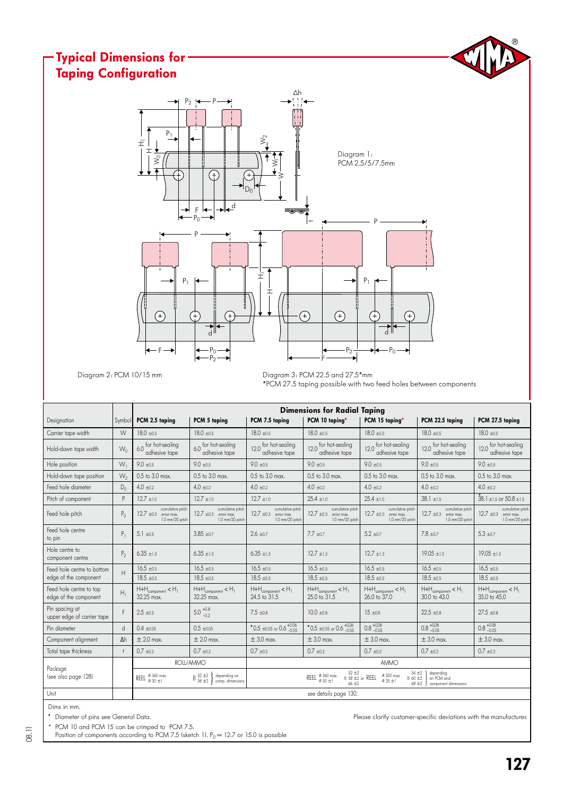#### $^{\circledR}$ Typical Dimensions for Taping ConfigurationΔh  $P_2$   $\rightarrow$ P  $P<sub>1</sub>$  $\hat{\ge}$ H<sup>1</sup> I Diagram 1: ≹  $\bar{z}$ PCM 2.5/5/7.5mm Œ ⋧  $D$ ╒ ┟╾│╼╢┱╝  $P_0$ P  $\,$ P  $P_1$   $\leftarrow$   $\left\|$   $\right\|$   $\frac{1}{1}$  $P<sub>1</sub>$ Hij  $\left( \begin{matrix} + \end{matrix} \right)$  $\left( \begin{matrix} + \end{matrix} \right)$ ⊕ ₽ G d d  $P<sub>0</sub>$  $-P_2 \xrightarrow{1} P_0$ F  $-P<sub>2</sub>$ F

Diagram 2: PCM 10/15 mm

Diagram 3: PCM 22.5 and 27.5\*mm \*PCM 27.5 taping possible with two feed holes between components

|                                                  |            | <b>Dimensions for Radial Taping</b>                              |                                                                                        |                                                                                                                                                                                                                                     |                                                                                          |                                                                  |                                                                                          |                                                                                          |  |  |  |  |  |  |
|--------------------------------------------------|------------|------------------------------------------------------------------|----------------------------------------------------------------------------------------|-------------------------------------------------------------------------------------------------------------------------------------------------------------------------------------------------------------------------------------|------------------------------------------------------------------------------------------|------------------------------------------------------------------|------------------------------------------------------------------------------------------|------------------------------------------------------------------------------------------|--|--|--|--|--|--|
| Designation                                      | Symbol     | PCM 2.5 taping                                                   | PCM 5 taping                                                                           | PCM 7.5 taping                                                                                                                                                                                                                      | PCM 10 taping*                                                                           | PCM 15 taping*                                                   | PCM 22.5 taping                                                                          | PCM 27.5 taping                                                                          |  |  |  |  |  |  |
| Carrier tape width                               | W          | $18.0 \pm 0.5$                                                   | $18.0 + 0.5$                                                                           | $18.0 + 0.5$                                                                                                                                                                                                                        | $18.0 \pm 0.5$                                                                           | $18.0 + 0.5$                                                     | $18.0 \pm 0.5$                                                                           | $18.0 \pm 0.5$                                                                           |  |  |  |  |  |  |
| Hold-down tape width                             | $W_0$      | 6.0 for hot-sealing<br>adhesive tape                             | 6.0 for hot-sealing<br>adhesive tape                                                   | for hot-sealing<br>120<br>adhesive tape                                                                                                                                                                                             | 12.0 for hot-sealing<br>adhesive tape                                                    | 12.0 for hot-sealing<br>adhesive tape                            | 12.0 for hot-sealing<br>adhesive tape                                                    | for hot-sealing<br>120<br>adhesive tape                                                  |  |  |  |  |  |  |
| Hole position                                    | $W_1$      | $9.0 \pm 0.5$                                                    | $9.0 + 0.5$                                                                            | $9.0 + 0.5$                                                                                                                                                                                                                         | $9.0 \pm 0.5$                                                                            | $9.0 + 0.5$                                                      | $9.0 + 0.5$                                                                              | $9.0 + 0.5$                                                                              |  |  |  |  |  |  |
| Hold-down tape position                          | $W_2$      | $0.5$ to $3.0$ max.                                              | $0.5$ to $3.0$ max.                                                                    | $0.5$ to $3.0$ max.                                                                                                                                                                                                                 | $0.5$ to $3.0$ max.                                                                      | 0.5 to 3.0 max.                                                  | $0.5$ to $3.0$ max.                                                                      | $0.5$ to $3.0$ max.                                                                      |  |  |  |  |  |  |
| Feed hole diameter                               | $D_0$      | $4.0 \pm 0.2$                                                    | $4.0 \pm 0.2$                                                                          | $4.0 + 0.2$                                                                                                                                                                                                                         | $4.0 \pm 0.2$                                                                            | $4.0 \pm 0.2$                                                    | $4.0 \pm 0.2$                                                                            | $4.0 \pm 0.2$                                                                            |  |  |  |  |  |  |
| Pitch of component                               | P          | $12.7 + 1.0$                                                     | $12.7 \pm 1.0$                                                                         | $12.7 + 1.0$                                                                                                                                                                                                                        | $25.4 \pm 1.0$                                                                           | $25.4 \pm 1.0$                                                   | $38.1 \pm 1.5$                                                                           | $38.1 \pm 1.5$ or $50.8 \pm 1.5$                                                         |  |  |  |  |  |  |
| Feed hole pitch                                  | $P_{0}$    | cumulative pitch<br>$12.7 \pm 0.3$ error max.<br>1.0 mm/20 pitch | cumulative pitch<br>$12.7 \pm 0.3$ error max.<br>1.0 mm/20 pitch                       | cumulative pitch<br>$12.7 + 0.3$<br>error max.<br>1.0 mm/20 pitch                                                                                                                                                                   | cumulative pitch<br>$12.7 \pm 0.3$ error max.<br>1.0 mm/20 pitch                         | cumulative pitch<br>$12.7 \pm 0.3$ error max.<br>1.0 mm/20 pitch | cumulative pitch<br>$12.7 \pm 0.3$ error max.<br>1.0 mm/20 pitch                         | cumulative pitch<br>$12.7 \pm 0.3$ error max.<br>1.0 mm/20 pitch                         |  |  |  |  |  |  |
| Feed hole centre<br>to pin                       | $P_1$      | $5.1 + 0.5$                                                      | $3.85 + 0.7$                                                                           | $2.6 + 0.7$                                                                                                                                                                                                                         | $7.7 \pm 0.7$                                                                            | $5.2 + 0.7$                                                      | $7.8 + 0.7$                                                                              | $5.3 + 0.7$                                                                              |  |  |  |  |  |  |
| Hole centre to<br>component centre               | $P_2$      | $6.35 \pm 1.3$                                                   | $6.35 + 1.3$                                                                           | $6.35 + 1.3$                                                                                                                                                                                                                        | $12.7 + 1.3$                                                                             | $12.7 + 1.3$                                                     | $19.05 + 1.3$                                                                            | $19.05 + 1.3$                                                                            |  |  |  |  |  |  |
| Feed hole centre to bottom                       | H          | $16.5 \pm 0.3$                                                   | $16.5 \pm 0.3$                                                                         | $16.5 \pm 0.5$                                                                                                                                                                                                                      | $16.5 \pm 0.5$                                                                           | $16.5 \pm 0.5$                                                   | $16.5 \pm 0.5$                                                                           | $16.5 \pm 0.5$                                                                           |  |  |  |  |  |  |
| edge of the component                            |            | $18.5 + 0.5$                                                     | $18.5 + 0.5$                                                                           | $18.5 + 0.5$                                                                                                                                                                                                                        | $18.5 + 0.5$                                                                             | $18.5 + 0.5$                                                     | $18.5 + 0.5$                                                                             | $18.5 + 0.5$                                                                             |  |  |  |  |  |  |
| Feed hole centre to top<br>edge of the component | $H_1$      | $H + H_{\text{component}} < H_1$<br>32.25 max.                   | $\mathsf{H}{+}\mathsf{H}_{\mathsf{component}} < \mathsf{H}_{\mathsf{1}}$<br>32.25 max. | $H + H_{\text{component}} < H_1$<br>24.5 to 31.5                                                                                                                                                                                    | $\mathsf{H}{+}\mathsf{H}_{\mathsf{component}} < \mathsf{H}_{\mathsf{1}}$<br>25.0 to 31.5 | $H + H_{\text{component}} < H_1$<br>26.0 to 37.0                 | $\mathsf{H}{+}\mathsf{H}_{\mathsf{component}} < \mathsf{H}_{\mathsf{l}}$<br>30.0 to 43.0 | $\mathsf{H}{+}\mathsf{H}_{\mathsf{component}} < \mathsf{H}_{\mathsf{1}}$<br>35.0 to 45.0 |  |  |  |  |  |  |
| Pin spacing at<br>upper edge of carrier tape     | F          | $2.5 \pm 0.5$                                                    | $5.0^{+0.8}_{-0.2}$                                                                    | $7.5 \pm 0.8$                                                                                                                                                                                                                       | $10.0 \pm 0.8$                                                                           | $15 \pm 0.8$                                                     | $22.5 \pm 0.8$                                                                           | $27.5 \pm 0.8$                                                                           |  |  |  |  |  |  |
| Pin diameter                                     | d          | $0.4 \pm 0.05$                                                   | $0.5 \pm 0.05$                                                                         | $^{\bullet}$ 0.5 ±0.05 or 0.6 $^{+0.06}_{-0.05}$                                                                                                                                                                                    | $^{\bullet}$ 0.5 ±0.05 or 0.6 $^{+0,06}_{-0.05}$                                         | $0.8 + 0.08$                                                     | $0.8^{+0,08}_{-0.05}$                                                                    | $0.8_{-0.05}^{+0.08}$                                                                    |  |  |  |  |  |  |
| Component alignment                              | $\Delta h$ | $\pm 2.0$ max.                                                   | $\pm 2.0$ max.                                                                         | $\pm$ 3.0 max.                                                                                                                                                                                                                      | $\pm$ 3.0 max.                                                                           | $\pm$ 3.0 max.                                                   | $\pm$ 3.0 max.                                                                           | $\pm$ 3.0 max.                                                                           |  |  |  |  |  |  |
| Total tape thickness                             | $\ddagger$ | $0.7 + 0.2$                                                      | $0.7 + 0.2$                                                                            | $0.7 + 0.2$                                                                                                                                                                                                                         | $0.7 + 0.2$                                                                              | $0.7 + 0.2$                                                      | $0.7 + 0.2$                                                                              | $0.7 + 0.2$                                                                              |  |  |  |  |  |  |
|                                                  |            |                                                                  | ROLL/AMMO                                                                              |                                                                                                                                                                                                                                     |                                                                                          | <b>AMMO</b>                                                      |                                                                                          |                                                                                          |  |  |  |  |  |  |
| Packaae<br>Isee also page 1281                   |            | REEL $\frac{\emptyset}{\emptyset}$ 360 max.                      | $\mathrm{B}~^{52~\pm2}_{58~\pm2}$<br>depending on<br>comp, dimensions                  | 54 ±2<br>depending<br>$52 + 2$<br>$\emptyset$ 500 max.<br>REEL $\frac{\emptyset}{4}$ 360 max.<br>$B$ 58 $\pm 2$ or REEL<br>B 60 ±2<br>on PCM and<br>$\phi$ 30 +1<br>$\varphi$ 25 ±1<br>$66 + 2$<br>$68 + 2$<br>component dimensions |                                                                                          |                                                                  |                                                                                          |                                                                                          |  |  |  |  |  |  |
| Unit                                             |            |                                                                  |                                                                                        |                                                                                                                                                                                                                                     | see details page 130.                                                                    |                                                                  |                                                                                          |                                                                                          |  |  |  |  |  |  |

Dims in mm.

PCM 10 and PCM 15 can be crimped to PCM 7.5.

Position of components according to PCM 7.5 (sketch 1).  $P_0 = 12.7$  or 15.0 is possible

" Diameter of pins see General Data. Please clarify customer-specific deviations with the manufacturer.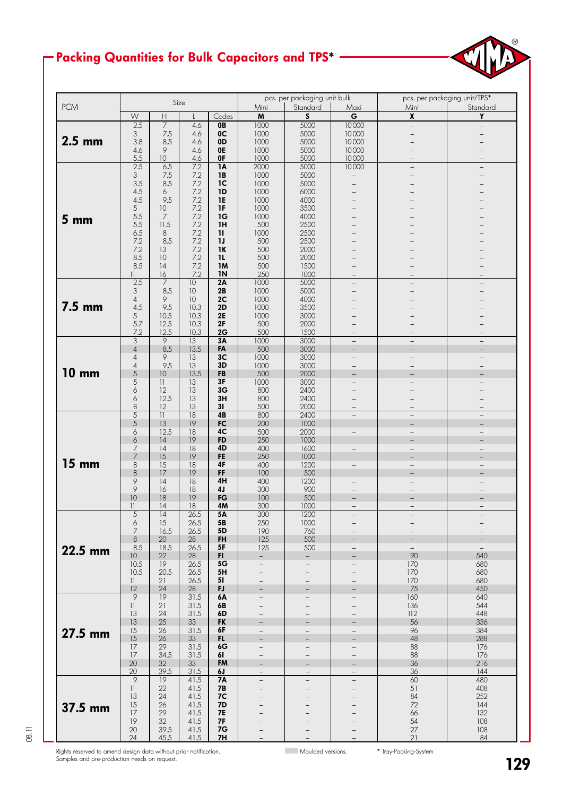## Packing Quantities for Bulk Capacitors and TPS\*



|                 |                          |                           | Size             |                 |                          | pcs. per packaging unit bulk |                          | pcs. per packaging unit/TPS* |                          |  |
|-----------------|--------------------------|---------------------------|------------------|-----------------|--------------------------|------------------------------|--------------------------|------------------------------|--------------------------|--|
| <b>PCM</b>      |                          |                           |                  |                 | Mini                     | Standard                     | Maxi                     | Mini                         | Standard                 |  |
|                 | ${\mathsf W}$            | $\boldsymbol{\mathsf{H}}$ |                  | Codes           | $\pmb{\mathsf{M}}$       | $\boldsymbol{\mathsf{S}}$    | $\overline{\mathsf{G}}$  | $\overline{\mathbf{x}}$      | $\overline{Y}$           |  |
|                 | 2.5                      | $\overline{7}$            | 4.6              | 0B              | 1000                     | 5000                         | 10000                    | $\overline{a}$               | $\overline{\phantom{0}}$ |  |
|                 | 3                        | 7.5                       | 4.6              | 0 <sup>C</sup>  | 1000                     | 5000                         | 10000                    |                              |                          |  |
| $2.5$ mm        | 3.8                      | 8.5                       | 4.6              | 0D              | 1000                     | 5000                         | 10000                    |                              |                          |  |
|                 | 4.6                      | 9                         | 4.6              | 0E              | 1000                     | 5000                         | 10000                    |                              |                          |  |
|                 | 5.5                      | 10                        | 4.6              | 0F              | 1000                     | 5000                         | 10000                    |                              |                          |  |
|                 | 2.5                      | 6.5                       | $\overline{7.2}$ | $\overline{1A}$ | 2000                     | 5000                         | 10000                    |                              |                          |  |
|                 | 3                        | 7.5                       | 7.2              | <b>1B</b>       | 1000                     | 5000                         |                          |                              |                          |  |
|                 | 3.5                      | 8.5                       | 7.2              | 1 <sup>C</sup>  | 1000                     | 5000                         |                          |                              |                          |  |
|                 | 4.5                      | 6                         | 7.2              | 1D              | 1000                     | 6000                         |                          |                              |                          |  |
|                 | 4.5                      | 9.5                       | 7.2              | <b>1E</b>       | 1000                     | 4000                         |                          |                              |                          |  |
|                 | 5                        | 10                        | 7.2              | 1F              | 1000                     | 3500                         |                          |                              |                          |  |
| 5 <sub>mm</sub> | 5.5                      | 7                         | 7.2              | 1G              | 1000                     | 4000                         |                          |                              |                          |  |
|                 | 5.5                      | 11.5                      | 7.2              | 1H              | 500                      | 2500                         |                          |                              |                          |  |
|                 | 6.5                      | 8                         | 7.2              | $\mathbf{u}$    | 1000                     | 2500                         |                          |                              |                          |  |
|                 | 7.2                      | 8.5                       | 7.2              | 1J              | 500                      | 2500                         |                          |                              |                          |  |
|                 | 7.2                      | 13                        | 7.2              | 1K              | 500                      | 2000                         |                          |                              |                          |  |
|                 | 8.5                      | 10                        | 7.2              | 11              | 500                      | 2000                         |                          |                              |                          |  |
|                 | 8.5                      | 4                         | 7.2              | 1M              | 500                      | 1500                         |                          |                              |                          |  |
|                 | $\overline{\phantom{a}}$ | 16                        | 7.2              | <b>IN</b>       | 250                      | 1000                         |                          |                              |                          |  |
|                 | 2.5                      | 7                         | 10               | 2A              | 1000                     | 5000                         | $\qquad \qquad -$        |                              |                          |  |
|                 | 3                        | 8.5                       | 10               | 2B              | 1000                     | 5000                         |                          |                              |                          |  |
|                 | $\overline{4}$           | 9                         | 10               | 2C              | 1000                     | 4000                         |                          |                              |                          |  |
| 7.5 mm          | 4.5                      | 9.5                       | 10.3             | 2D              | 1000                     | 3500                         |                          |                              |                          |  |
|                 | 5                        | 10.5                      | 10.3             | <b>2E</b>       | 1000                     | 3000                         |                          |                              |                          |  |
|                 | 5.7                      | 12.5                      | 10.3             | 2F              | 500                      | 2000                         |                          |                              |                          |  |
|                 | 7.2                      | 12.5                      | 10.3             | 2G              | 500                      | 1500                         | $\overline{\phantom{0}}$ |                              |                          |  |
|                 | 3                        | $\overline{9}$            | 13               | 3A              | 1000                     | 3000                         | $\overline{\phantom{a}}$ | $\qquad \qquad -$            | $\overline{\phantom{a}}$ |  |
|                 | $\overline{4}$           | 8.5                       | 13.5             | FA              | 500                      | 3000                         |                          |                              |                          |  |
|                 | $\overline{4}$           | 9                         | 13               | 3 <sub>C</sub>  | 1000                     | 3000                         | $\overline{\phantom{0}}$ |                              |                          |  |
|                 | $\overline{4}$           | 9.5                       | 13               | 3D              | 1000                     | 3000                         |                          |                              |                          |  |
| <b>10 mm</b>    | 5                        | 10                        | 13.5             | FB              | 500                      | 2000                         |                          |                              |                          |  |
|                 | 5                        | $\mathbf{  }$             | 13               | 3F              | 1000                     | 3000                         |                          |                              |                          |  |
|                 | 6                        | 12                        | 13               | 3G              | 800                      | 2400                         |                          |                              |                          |  |
|                 | 6                        | 12.5                      | 13               | 3H              | 800                      | 2400                         |                          |                              |                          |  |
|                 | 8                        | 12                        | 13               | 31              | 500                      | 2000                         |                          |                              |                          |  |
|                 | $\overline{5}$           | $\overline{11}$           | $\overline{18}$  | 4B              | 800                      | 2400                         | $\overline{a}$           | $\equiv$                     | $\overline{a}$           |  |
|                 | 5                        | 13                        | 19               | FC              | 200                      | 1000                         |                          | $\overline{\phantom{0}}$     |                          |  |
|                 | 6                        | 12.5                      | 18               | 4C              | 500                      | 2000                         | $\overline{\phantom{0}}$ | $\overline{\phantom{0}}$     | $\overline{\phantom{0}}$ |  |
|                 | 6                        | 4                         | 19               | <b>FD</b>       | 250                      | 1000                         |                          |                              |                          |  |
|                 | 7                        | 4                         | 18               | 4D              | 400                      | 1600                         | $\overline{\phantom{0}}$ | $-$                          |                          |  |
|                 | 7                        | 15                        | 19               | <b>FE</b>       | 250                      | 1000                         |                          |                              |                          |  |
| <b>15 mm</b>    | 8                        | 15                        | 18               | 4F              | 400                      | 1200                         | $\overline{\phantom{0}}$ | $\overline{\phantom{0}}$     |                          |  |
|                 | $\,8\,$                  | 17                        | 19               | FF              | 100                      | 500                          |                          |                              |                          |  |
|                 | 9                        | 4                         | 18               | 4H              | 400                      | 1200                         |                          |                              |                          |  |
|                 | 9                        | 16                        | 18               | 4J              | 300                      | 900                          |                          |                              |                          |  |
|                 | 10                       | 18                        | 19               | FG              | 100                      | 500                          |                          |                              |                          |  |
|                 | $\vert \vert$            | 4                         | 18               | 4M              | 300                      | 1000                         | $\qquad \qquad -$        | $\overline{\phantom{0}}$     |                          |  |
|                 | $\overline{5}$           | $\overline{14}$           | 26.5             | 5A              | 300                      | 1200                         |                          |                              |                          |  |
|                 | 6                        | 15                        | 26.5             | 5B              | 250                      | 1000                         |                          |                              |                          |  |
|                 | 7                        | 16.5                      | 26.5             | 5D              | 190                      | 760                          |                          |                              |                          |  |
|                 | 8                        | 20<br>18.5                | 28               | FH              | 125                      | 500                          |                          |                              |                          |  |
| 22.5 mm         | 8.5<br>10                | 22                        | 26.5<br>28       | 5F<br>FI        | 125                      | 500                          | $\overline{\phantom{0}}$ | 90                           | 540                      |  |
|                 | 10.5                     | 19                        | 26.5             | 5G              | $\overline{\phantom{0}}$ |                              |                          | 170                          | 680                      |  |
|                 | 10.5                     | 20.5                      | 26.5             | 5H              |                          |                              |                          | 170                          | 680                      |  |
|                 | $\vert \vert$            | 21                        | 26.5             | 51              | $\overline{\phantom{0}}$ | $\overline{\phantom{0}}$     |                          | 170                          | 680                      |  |
|                 | 12                       | 24                        | 28               | <b>FJ</b>       |                          |                              |                          | 75                           | 450                      |  |
|                 | 9                        | 9                         | 31.5             | 6A              | $\overline{\phantom{0}}$ |                              | ♦                        | 160                          | 640                      |  |
|                 | $\left  {}\right $       | 21                        | 31.5             | 6B              |                          |                              |                          | 136                          | 544                      |  |
|                 | 13                       | 24                        | 31.5             | 6D              | —<br>$\qquad \qquad -$   |                              | —                        | 112                          | 448                      |  |
|                 | 13                       | 25                        | 33               | <b>FK</b>       |                          |                              |                          | 56                           | 336                      |  |
|                 | 15                       | 26                        | 31.5             | 6F              | $\overline{\phantom{a}}$ | $\overline{\phantom{a}}$     | $\overline{\phantom{0}}$ | 96                           | 384                      |  |
| 27.5 mm         | 15                       | 26                        | 33               | FL              | $\qquad \qquad -$        |                              |                          | 48                           | 288                      |  |
|                 | 17                       | 29                        | 31.5             | 6G              | $\qquad \qquad -$        |                              | $\overline{\phantom{0}}$ | 88                           | 176                      |  |
|                 | 17                       | 34.5                      | 31.5             | 61              | $\qquad \qquad -$        |                              | $\overline{\phantom{0}}$ | 88                           | 176                      |  |
|                 | 20                       | 32                        | 33               | <b>FM</b>       |                          |                              |                          | 36                           | 216                      |  |
|                 | 20                       | 39.5                      | 31.5             | 6J              |                          |                              |                          | 36                           | 144                      |  |
|                 | $\overline{9}$           | 19                        | 41.5             | <b>7A</b>       | $\overline{a}$           |                              | $\overline{\phantom{0}}$ | 60                           | 480                      |  |
|                 | $\vert \vert$            | 22                        | 41.5             | 7B              | $\overline{\phantom{0}}$ |                              | —                        | 51                           | 408                      |  |
|                 | 13                       | 24                        | 41.5             | <b>7C</b>       |                          |                              |                          | 84                           | 252                      |  |
|                 | 15                       | 26                        | 41.5             | <b>7D</b>       |                          |                              |                          |                              | 144                      |  |
| 37.5 mm         | 17                       | 29                        | 41.5             | <b>7E</b>       | $\qquad \qquad -$        |                              | <sup>-</sup>             | 72<br>66                     | 132                      |  |
|                 | 19                       | 32                        | 41.5             | <b>7F</b>       |                          |                              |                          | 54                           | 108                      |  |
|                 | $20\,$                   | 39.5                      | 41.5             | 7G              | $\qquad \qquad -$        |                              | —                        | 27                           | 108                      |  |
|                 | 24                       | 45.5                      | 41.5             | <b>7H</b>       | $\overline{\phantom{0}}$ |                              | $\overline{\phantom{0}}$ | 21                           | 84                       |  |
|                 |                          |                           |                  |                 |                          |                              |                          |                              |                          |  |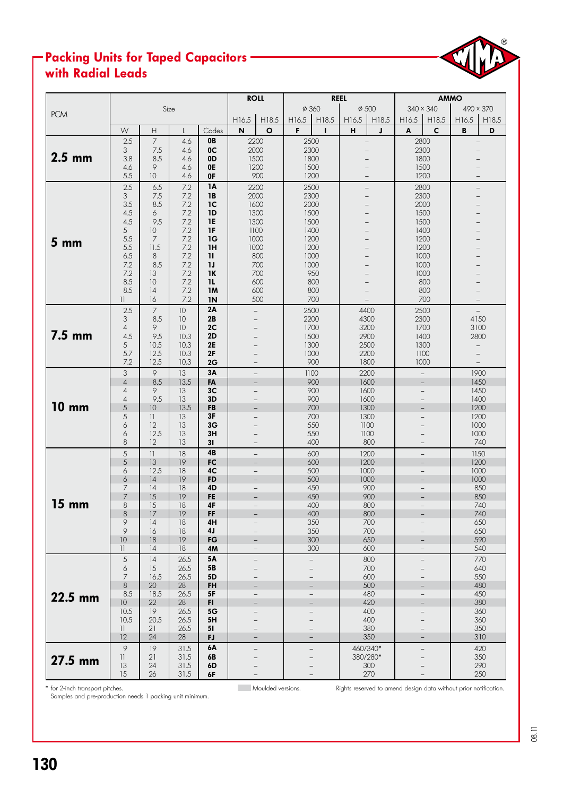### Packing Units for Taped Capacitors with Radial Leads



\* for 2-inch transport pitches. Moulded versions. Rights reserved to amend design data without prior notification.

Samples and pre-production needs 1 packing unit minimum.